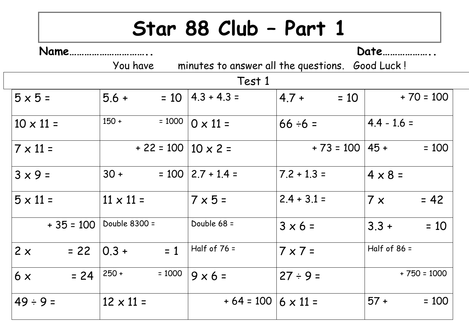## **Star 88 Club – Part 1**

| Name.            |                                  | Date                        |                                                 |                      |  |  |  |  |
|------------------|----------------------------------|-----------------------------|-------------------------------------------------|----------------------|--|--|--|--|
|                  | You have                         |                             | minutes to answer all the questions. Good Luck! |                      |  |  |  |  |
| Test 1           |                                  |                             |                                                 |                      |  |  |  |  |
| $5 \times 5 =$   | $5.6 +$                          | $= 10$   4.3 + 4.3 =        | $4.7 +$<br>$= 10$                               | $+70 = 100$          |  |  |  |  |
| $10 \times 11 =$ | $150 +$<br>$= 1000$              | $0 \times 11 =$             | $66 \div 6 =$                                   | $4.4 - 1.6 =$        |  |  |  |  |
| $7 \times 11 =$  | $+ 22 = 100   10 \times 2 = 120$ |                             | $+ 73 = 100 \mid 45 +$                          | $= 100$              |  |  |  |  |
| $3 \times 9 =$   | $30 +$                           | $= 100$   2.7 + 1.4 =       | $7.2 + 1.3 =$                                   | $4 \times 8 =$       |  |  |  |  |
| $5 \times 11 =$  | $11 \times 11 =$                 | $7 \times 5 =$              | $2.4 + 3.1 =$                                   | $= 42$<br>$7 \times$ |  |  |  |  |
| $+35 = 100$      | Double 8300 =                    | Double 68 =                 | $3 \times 6 =$                                  | $3.3 +$<br>$= 10$    |  |  |  |  |
| 2x<br>$= 22$     | $0.3 +$<br>$= 1$                 | Half of $76 =$              | $7 \times 7 =$                                  | Half of $86 =$       |  |  |  |  |
| $= 24$<br>6x     | $= 1000$<br>$250 +$              | $9 \times 6 =$              | $27 ÷ 9 =$                                      | $+750 = 1000$        |  |  |  |  |
| $49 \div 9 =$    | $12 \times 11 =$                 | $+64 = 100   6 \times 11 =$ |                                                 | $57 +$<br>$= 100$    |  |  |  |  |